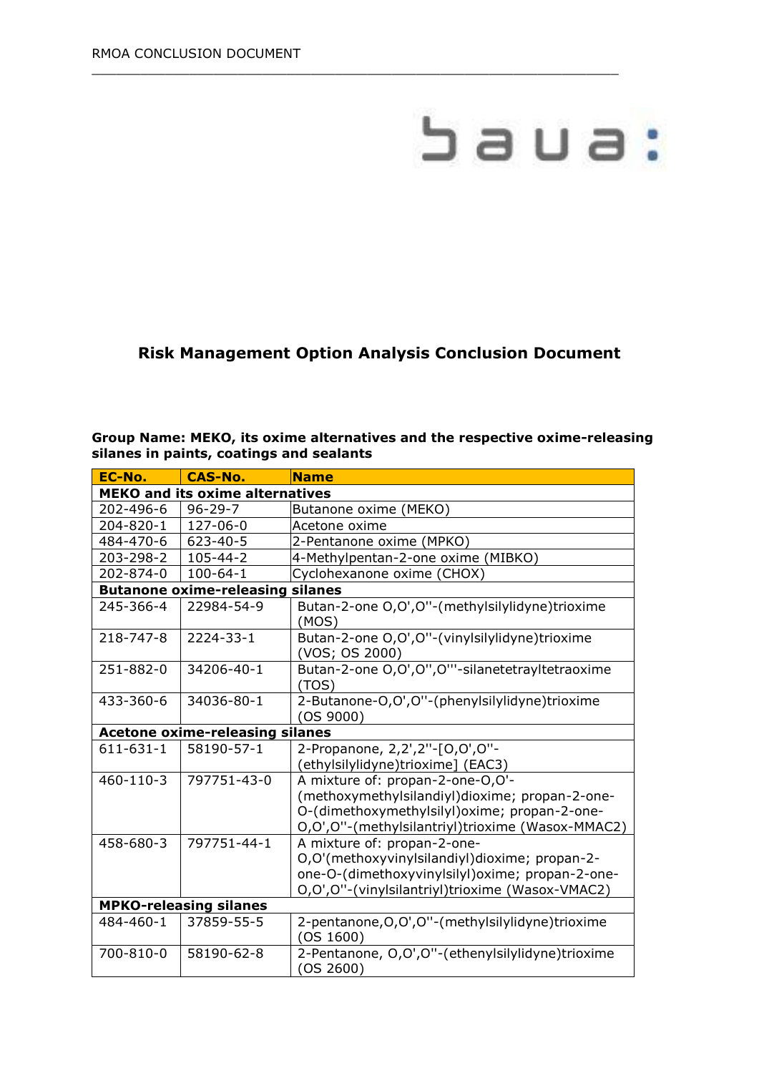# baua:

## **Risk Management Option Analysis Conclusion Document**

 $\_$  , and the set of the set of the set of the set of the set of the set of the set of the set of the set of the set of the set of the set of the set of the set of the set of the set of the set of the set of the set of th

#### **Group Name: MEKO, its oxime alternatives and the respective oxime-releasing silanes in paints, coatings and sealants**

| EC-No.                                 | <b>CAS-No.</b>                          | <b>Name</b>                                                     |  |  |
|----------------------------------------|-----------------------------------------|-----------------------------------------------------------------|--|--|
| <b>MEKO and its oxime alternatives</b> |                                         |                                                                 |  |  |
| 202-496-6                              | $96 - 29 - 7$                           | Butanone oxime (MEKO)                                           |  |  |
| 204-820-1                              | 127-06-0                                | Acetone oxime                                                   |  |  |
| 484-470-6                              | 623-40-5                                | 2-Pentanone oxime (MPKO)                                        |  |  |
| 203-298-2                              | 105-44-2                                | 4-Methylpentan-2-one oxime (MIBKO)                              |  |  |
| 202-874-0                              | $100 - 64 - 1$                          | Cyclohexanone oxime (CHOX)                                      |  |  |
|                                        | <b>Butanone oxime-releasing silanes</b> |                                                                 |  |  |
| 245-366-4                              | 22984-54-9                              | Butan-2-one O,O',O"-(methylsilylidyne)trioxime<br>(MOS)         |  |  |
| 218-747-8                              | 2224-33-1                               | Butan-2-one O,O',O"-(vinylsilylidyne)trioxime<br>(VOS; OS 2000) |  |  |
| 251-882-0                              | 34206-40-1                              | Butan-2-one O,O',O",O"'-silanetetrayltetraoxime<br>(TOS)        |  |  |
| 433-360-6                              | 34036-80-1                              | 2-Butanone-O,O',O"-(phenylsilylidyne)trioxime<br>(OS 9000)      |  |  |
| <b>Acetone oxime-releasing silanes</b> |                                         |                                                                 |  |  |
| 611-631-1                              | 58190-57-1                              | 2-Propanone, 2,2',2"-[O,O',O"-                                  |  |  |
|                                        |                                         | (ethylsilylidyne)trioxime] (EAC3)                               |  |  |
| 460-110-3                              | 797751-43-0                             | A mixture of: propan-2-one-O,O'-                                |  |  |
|                                        |                                         | (methoxymethylsilandiyl)dioxime; propan-2-one-                  |  |  |
|                                        |                                         | O-(dimethoxymethylsilyl)oxime; propan-2-one-                    |  |  |
|                                        |                                         | O,O',O"-(methylsilantriyl)trioxime (Wasox-MMAC2)                |  |  |
| 458-680-3                              | 797751-44-1                             | A mixture of: propan-2-one-                                     |  |  |
|                                        |                                         | O,O'(methoxyvinylsilandiyl)dioxime; propan-2-                   |  |  |
|                                        |                                         | one-O-(dimethoxyvinylsilyl) oxime; propan-2-one-                |  |  |
|                                        |                                         | O,O',O"-(vinylsilantriyl)trioxime (Wasox-VMAC2)                 |  |  |
| <b>MPKO-releasing silanes</b>          |                                         |                                                                 |  |  |
| 484-460-1                              | 37859-55-5                              | 2-pentanone, O, O', O"-(methylsilylidyne)trioxime<br>(OS 1600)  |  |  |
| 700-810-0                              | 58190-62-8                              | 2-Pentanone, O,O',O"-(ethenylsilylidyne)trioxime<br>(OS 2600)   |  |  |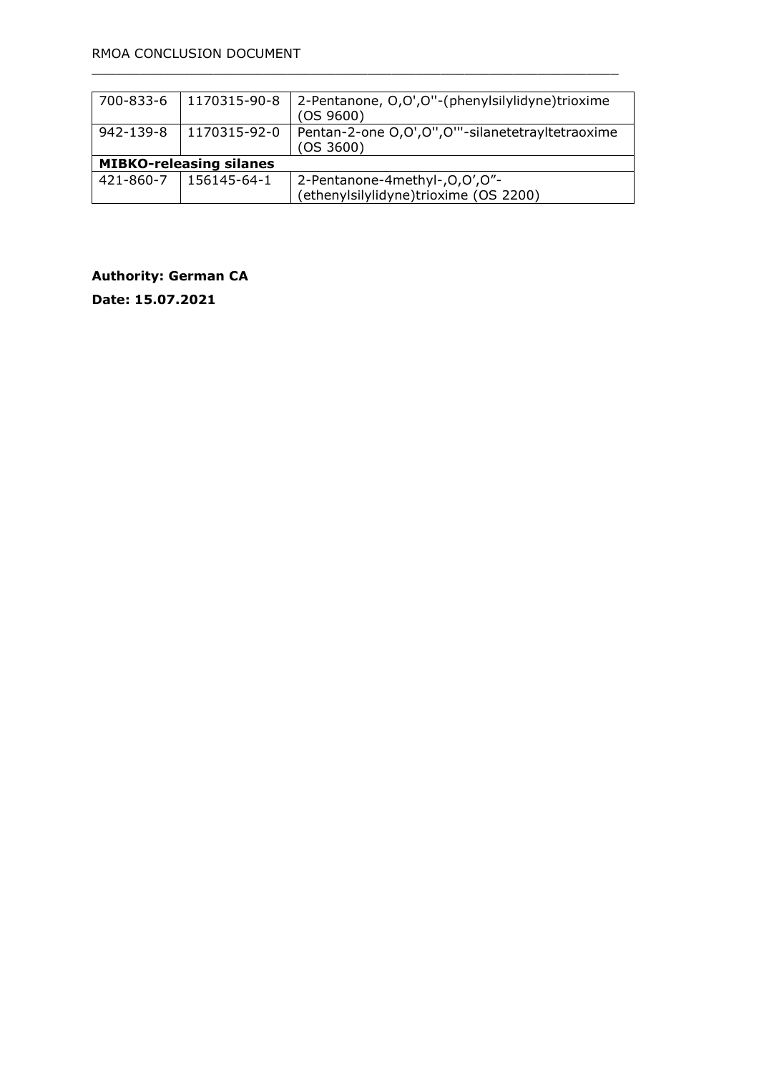| 700-833-6                      | 1170315-90-8                  | 2-Pentanone, O,O',O''-(phenylsilylidyne)trioxime<br>(OS 9600) |  |  |
|--------------------------------|-------------------------------|---------------------------------------------------------------|--|--|
| 942-139-8                      | 1170315-92-0                  | Pentan-2-one O,O',O",O"'-silanetetrayltetraoxime<br>(OS 3600) |  |  |
| <b>MIBKO-releasing silanes</b> |                               |                                                               |  |  |
|                                | $421 - 860 - 7$   156145-64-1 | 2-Pentanone-4methyl-, O, O', O"-                              |  |  |
|                                |                               | (ethenylsilylidyne)trioxime (OS 2200)                         |  |  |

 $\_$  , and the set of the set of the set of the set of the set of the set of the set of the set of the set of the set of the set of the set of the set of the set of the set of the set of the set of the set of the set of th

**Authority: German CA**

**Date: 15.07.2021**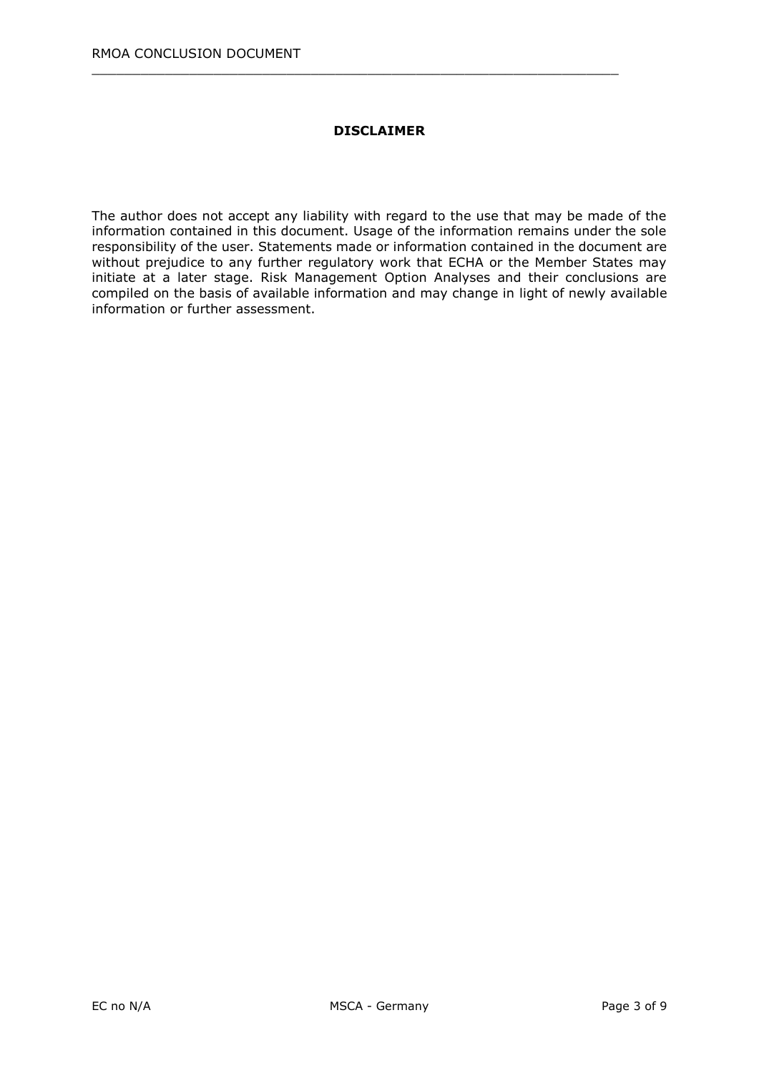#### **DISCLAIMER**

 $\_$  , and the set of the set of the set of the set of the set of the set of the set of the set of the set of the set of the set of the set of the set of the set of the set of the set of the set of the set of the set of th

The author does not accept any liability with regard to the use that may be made of the information contained in this document. Usage of the information remains under the sole responsibility of the user. Statements made or information contained in the document are without prejudice to any further regulatory work that ECHA or the Member States may initiate at a later stage. Risk Management Option Analyses and their conclusions are compiled on the basis of available information and may change in light of newly available information or further assessment.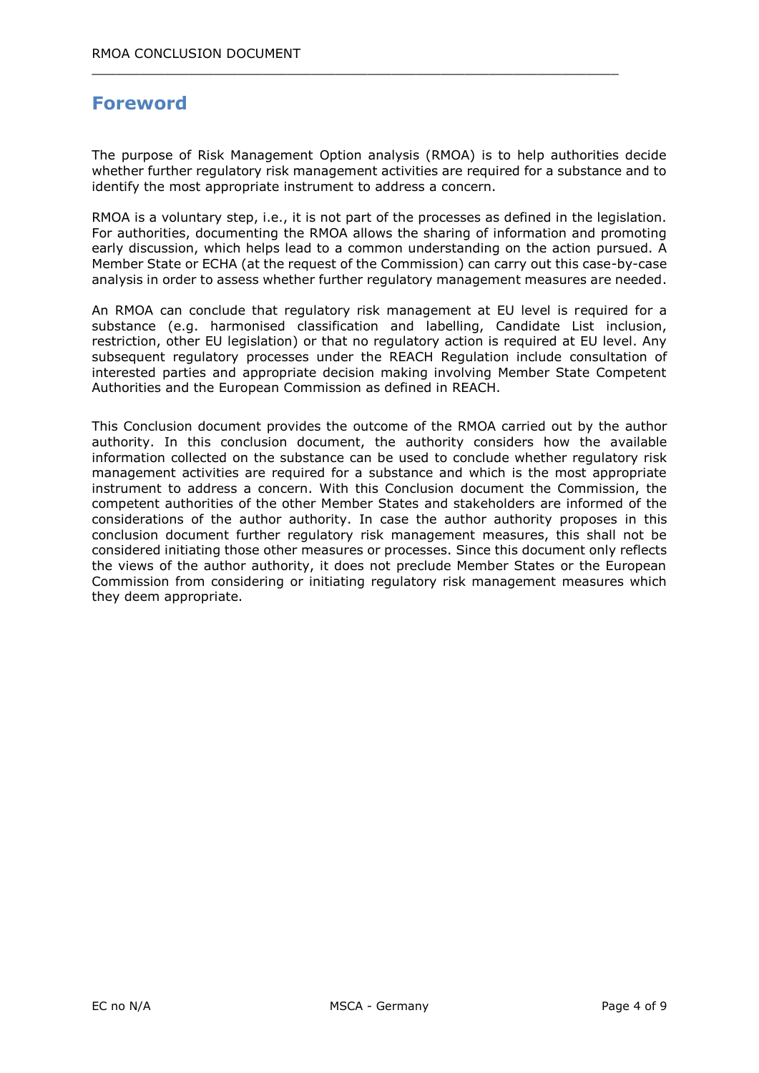# **Foreword**

The purpose of Risk Management Option analysis (RMOA) is to help authorities decide whether further regulatory risk management activities are required for a substance and to identify the most appropriate instrument to address a concern.

 $\_$  , and the set of the set of the set of the set of the set of the set of the set of the set of the set of the set of the set of the set of the set of the set of the set of the set of the set of the set of the set of th

RMOA is a voluntary step, i.e., it is not part of the processes as defined in the legislation. For authorities, documenting the RMOA allows the sharing of information and promoting early discussion, which helps lead to a common understanding on the action pursued. A Member State or ECHA (at the request of the Commission) can carry out this case-by-case analysis in order to assess whether further regulatory management measures are needed.

An RMOA can conclude that regulatory risk management at EU level is required for a substance (e.g. harmonised classification and labelling, Candidate List inclusion, restriction, other EU legislation) or that no regulatory action is required at EU level. Any subsequent regulatory processes under the REACH Regulation include consultation of interested parties and appropriate decision making involving Member State Competent Authorities and the European Commission as defined in REACH.

This Conclusion document provides the outcome of the RMOA carried out by the author authority. In this conclusion document, the authority considers how the available information collected on the substance can be used to conclude whether regulatory risk management activities are required for a substance and which is the most appropriate instrument to address a concern. With this Conclusion document the Commission, the competent authorities of the other Member States and stakeholders are informed of the considerations of the author authority. In case the author authority proposes in this conclusion document further regulatory risk management measures, this shall not be considered initiating those other measures or processes. Since this document only reflects the views of the author authority, it does not preclude Member States or the European Commission from considering or initiating regulatory risk management measures which they deem appropriate.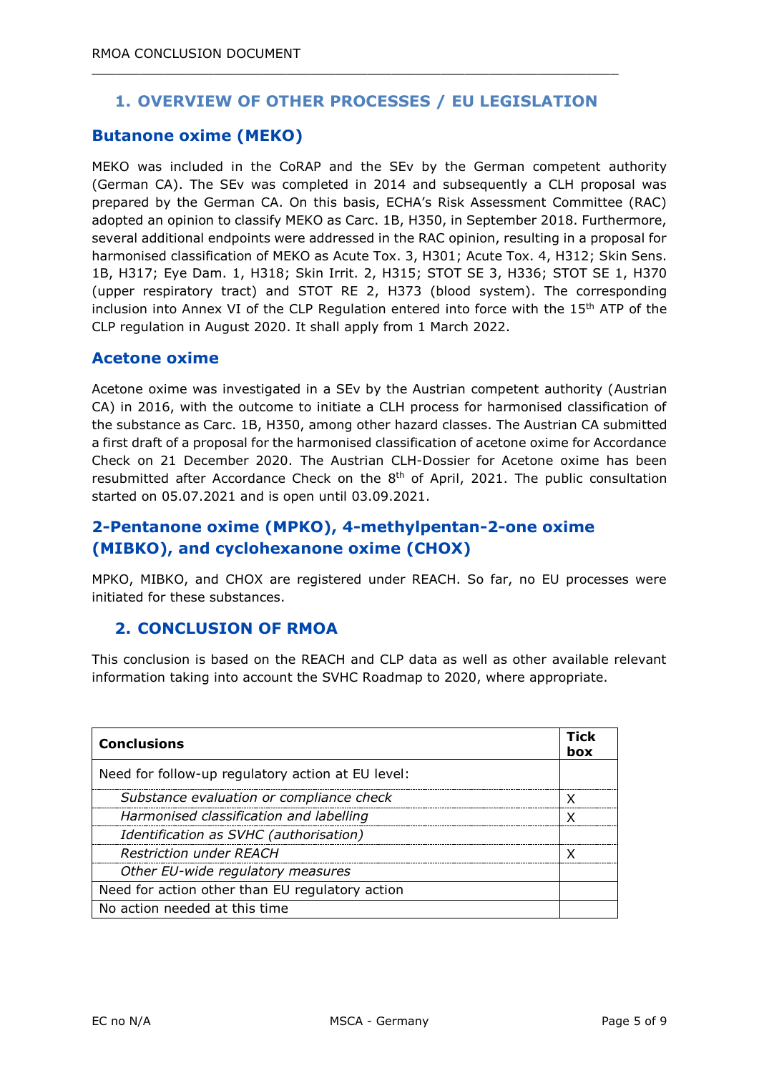## **1. OVERVIEW OF OTHER PROCESSES / EU LEGISLATION**

 $\_$  , and the set of the set of the set of the set of the set of the set of the set of the set of the set of the set of the set of the set of the set of the set of the set of the set of the set of the set of the set of th

#### **Butanone oxime (MEKO)**

MEKO was included in the CoRAP and the SEv by the German competent authority (German CA). The SEv was completed in 2014 and subsequently a CLH proposal was prepared by the German CA. On this basis, ECHA's Risk Assessment Committee (RAC) adopted an opinion to classify MEKO as Carc. 1B, H350, in September 2018. Furthermore, several additional endpoints were addressed in the RAC opinion, resulting in a proposal for harmonised classification of MEKO as Acute Tox. 3, H301; Acute Tox. 4, H312; Skin Sens. 1B, H317; Eye Dam. 1, H318; Skin Irrit. 2, H315; STOT SE 3, H336; STOT SE 1, H370 (upper respiratory tract) and STOT RE 2, H373 (blood system). The corresponding inclusion into Annex VI of the CLP Regulation entered into force with the 15<sup>th</sup> ATP of the CLP regulation in August 2020. It shall apply from 1 March 2022.

#### **Acetone oxime**

Acetone oxime was investigated in a SEv by the Austrian competent authority (Austrian CA) in 2016, with the outcome to initiate a CLH process for harmonised classification of the substance as Carc. 1B, H350, among other hazard classes. The Austrian CA submitted a first draft of a proposal for the harmonised classification of acetone oxime for Accordance Check on 21 December 2020. The Austrian CLH-Dossier for Acetone oxime has been resubmitted after Accordance Check on the  $8<sup>th</sup>$  of April, 2021. The public consultation started on 05.07.2021 and is open until 03.09.2021.

## **2-Pentanone oxime (MPKO), 4-methylpentan-2-one oxime (MIBKO), and cyclohexanone oxime (CHOX)**

MPKO, MIBKO, and CHOX are registered under REACH. So far, no EU processes were initiated for these substances.

#### **2. CONCLUSION OF RMOA**

This conclusion is based on the REACH and CLP data as well as other available relevant information taking into account the SVHC Roadmap to 2020, where appropriate.

| <b>Conclusions</b>                                | <b>Tick</b><br>box |
|---------------------------------------------------|--------------------|
| Need for follow-up regulatory action at EU level: |                    |
| Substance evaluation or compliance check          |                    |
| Harmonised classification and labelling           | x                  |
| Identification as SVHC (authorisation)            |                    |
| <b>Restriction under REACH</b>                    |                    |
| Other EU-wide regulatory measures                 |                    |
| Need for action other than EU regulatory action   |                    |
| No action needed at this time                     |                    |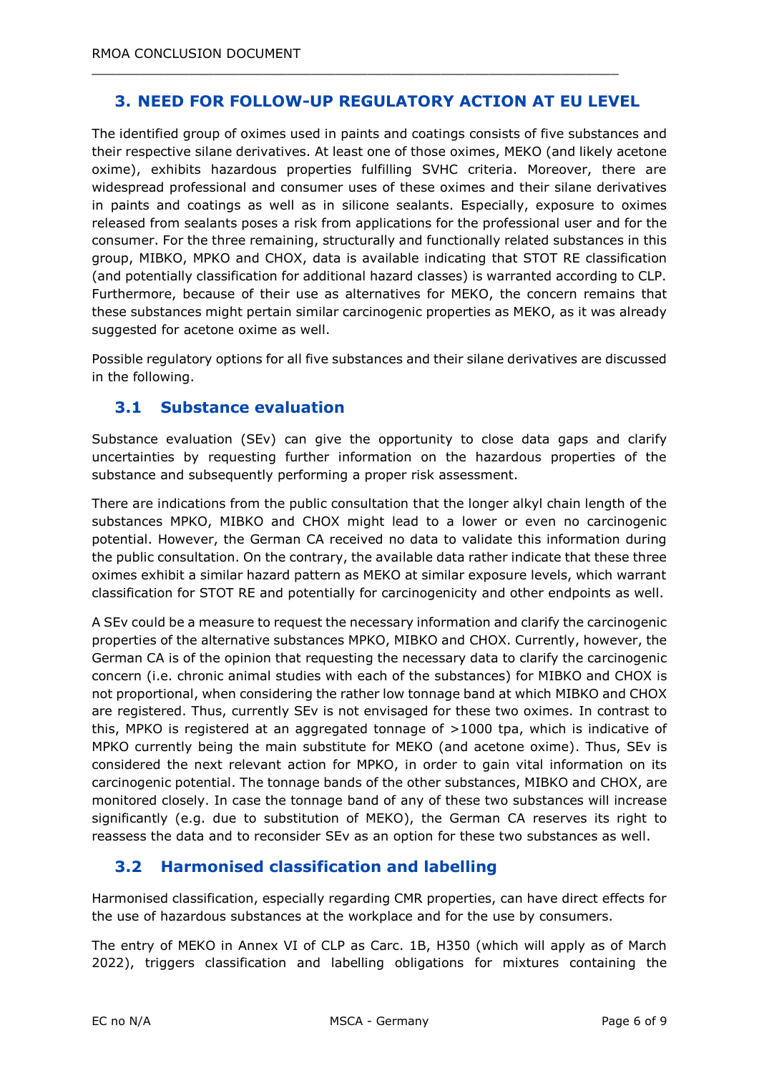## **3. NEED FOR FOLLOW-UP REGULATORY ACTION AT EU LEVEL**

 $\_$  , and the set of the set of the set of the set of the set of the set of the set of the set of the set of the set of the set of the set of the set of the set of the set of the set of the set of the set of the set of th

The identified group of oximes used in paints and coatings consists of five substances and their respective silane derivatives. At least one of those oximes, MEKO (and likely acetone oxime), exhibits hazardous properties fulfilling SVHC criteria. Moreover, there are widespread professional and consumer uses of these oximes and their silane derivatives in paints and coatings as well as in silicone sealants. Especially, exposure to oximes released from sealants poses a risk from applications for the professional user and for the consumer. For the three remaining, structurally and functionally related substances in this group, MIBKO, MPKO and CHOX, data is available indicating that STOT RE classification (and potentially classification for additional hazard classes) is warranted according to CLP. Furthermore, because of their use as alternatives for MEKO, the concern remains that these substances might pertain similar carcinogenic properties as MEKO, as it was already suggested for acetone oxime as well.

Possible regulatory options for all five substances and their silane derivatives are discussed in the following.

#### **3.1 Substance evaluation**

Substance evaluation (SEv) can give the opportunity to close data gaps and clarify uncertainties by requesting further information on the hazardous properties of the substance and subsequently performing a proper risk assessment.

There are indications from the public consultation that the longer alkyl chain length of the substances MPKO, MIBKO and CHOX might lead to a lower or even no carcinogenic potential. However, the German CA received no data to validate this information during the public consultation. On the contrary, the available data rather indicate that these three oximes exhibit a similar hazard pattern as MEKO at similar exposure levels, which warrant classification for STOT RE and potentially for carcinogenicity and other endpoints as well.

A SEv could be a measure to request the necessary information and clarify the carcinogenic properties of the alternative substances MPKO, MIBKO and CHOX. Currently, however, the German CA is of the opinion that requesting the necessary data to clarify the carcinogenic concern (i.e. chronic animal studies with each of the substances) for MIBKO and CHOX is not proportional, when considering the rather low tonnage band at which MIBKO and CHOX are registered. Thus, currently SEv is not envisaged for these two oximes. In contrast to this, MPKO is registered at an aggregated tonnage of >1000 tpa, which is indicative of MPKO currently being the main substitute for MEKO (and acetone oxime). Thus, SEv is considered the next relevant action for MPKO, in order to gain vital information on its carcinogenic potential. The tonnage bands of the other substances, MIBKO and CHOX, are monitored closely. In case the tonnage band of any of these two substances will increase significantly (e.g. due to substitution of MEKO), the German CA reserves its right to reassess the data and to reconsider SEv as an option for these two substances as well.

## **3.2 Harmonised classification and labelling**

Harmonised classification, especially regarding CMR properties, can have direct effects for the use of hazardous substances at the workplace and for the use by consumers.

The entry of MEKO in Annex VI of CLP as Carc. 1B, H350 (which will apply as of March 2022), triggers classification and labelling obligations for mixtures containing the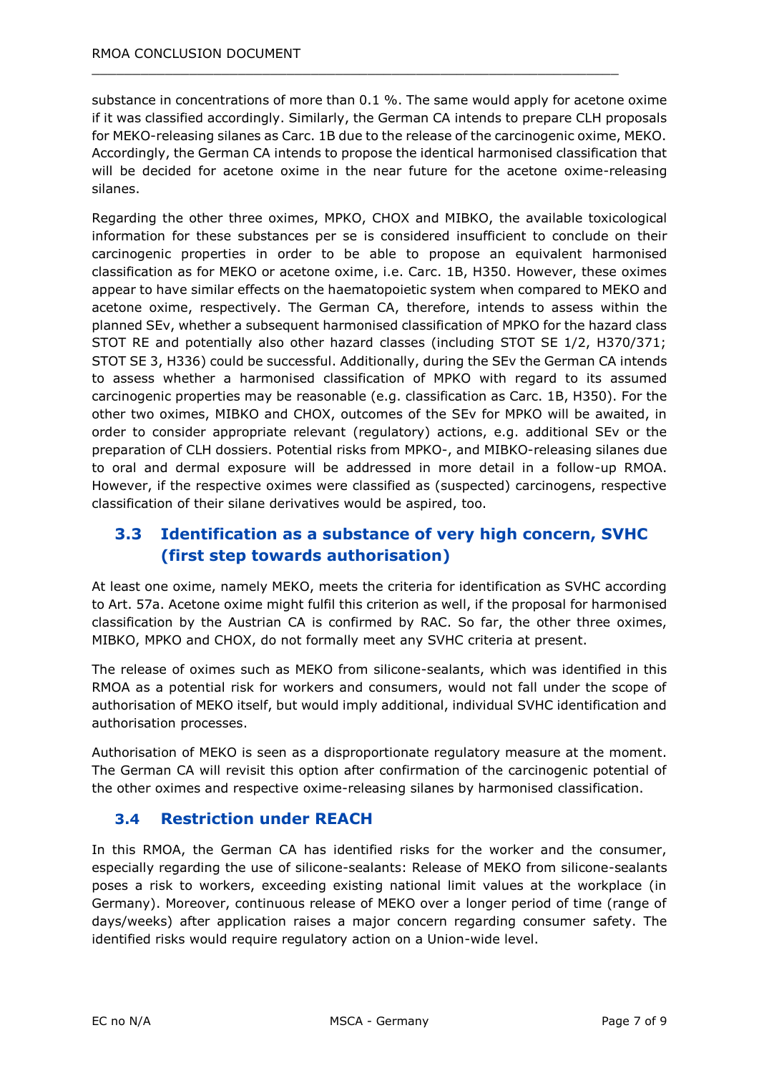substance in concentrations of more than 0.1 %. The same would apply for acetone oxime if it was classified accordingly. Similarly, the German CA intends to prepare CLH proposals for MEKO-releasing silanes as Carc. 1B due to the release of the carcinogenic oxime, MEKO. Accordingly, the German CA intends to propose the identical harmonised classification that will be decided for acetone oxime in the near future for the acetone oxime-releasing silanes.

 $\_$  , and the set of the set of the set of the set of the set of the set of the set of the set of the set of the set of the set of the set of the set of the set of the set of the set of the set of the set of the set of th

Regarding the other three oximes, MPKO, CHOX and MIBKO, the available toxicological information for these substances per se is considered insufficient to conclude on their carcinogenic properties in order to be able to propose an equivalent harmonised classification as for MEKO or acetone oxime, i.e. Carc. 1B, H350. However, these oximes appear to have similar effects on the haematopoietic system when compared to MEKO and acetone oxime, respectively. The German CA, therefore, intends to assess within the planned SEv, whether a subsequent harmonised classification of MPKO for the hazard class STOT RE and potentially also other hazard classes (including STOT SE 1/2, H370/371; STOT SE 3, H336) could be successful. Additionally, during the SEv the German CA intends to assess whether a harmonised classification of MPKO with regard to its assumed carcinogenic properties may be reasonable (e.g. classification as Carc. 1B, H350). For the other two oximes, MIBKO and CHOX, outcomes of the SEv for MPKO will be awaited, in order to consider appropriate relevant (regulatory) actions, e.g. additional SEv or the preparation of CLH dossiers. Potential risks from MPKO-, and MIBKO-releasing silanes due to oral and dermal exposure will be addressed in more detail in a follow-up RMOA. However, if the respective oximes were classified as (suspected) carcinogens, respective classification of their silane derivatives would be aspired, too.

## **3.3 Identification as a substance of very high concern, SVHC (first step towards authorisation)**

At least one oxime, namely MEKO, meets the criteria for identification as SVHC according to Art. 57a. Acetone oxime might fulfil this criterion as well, if the proposal for harmonised classification by the Austrian CA is confirmed by RAC. So far, the other three oximes, MIBKO, MPKO and CHOX, do not formally meet any SVHC criteria at present.

The release of oximes such as MEKO from silicone-sealants, which was identified in this RMOA as a potential risk for workers and consumers, would not fall under the scope of authorisation of MEKO itself, but would imply additional, individual SVHC identification and authorisation processes.

Authorisation of MEKO is seen as a disproportionate regulatory measure at the moment. The German CA will revisit this option after confirmation of the carcinogenic potential of the other oximes and respective oxime-releasing silanes by harmonised classification.

## **3.4 Restriction under REACH**

In this RMOA, the German CA has identified risks for the worker and the consumer, especially regarding the use of silicone-sealants: Release of MEKO from silicone-sealants poses a risk to workers, exceeding existing national limit values at the workplace (in Germany). Moreover, continuous release of MEKO over a longer period of time (range of days/weeks) after application raises a major concern regarding consumer safety. The identified risks would require regulatory action on a Union-wide level.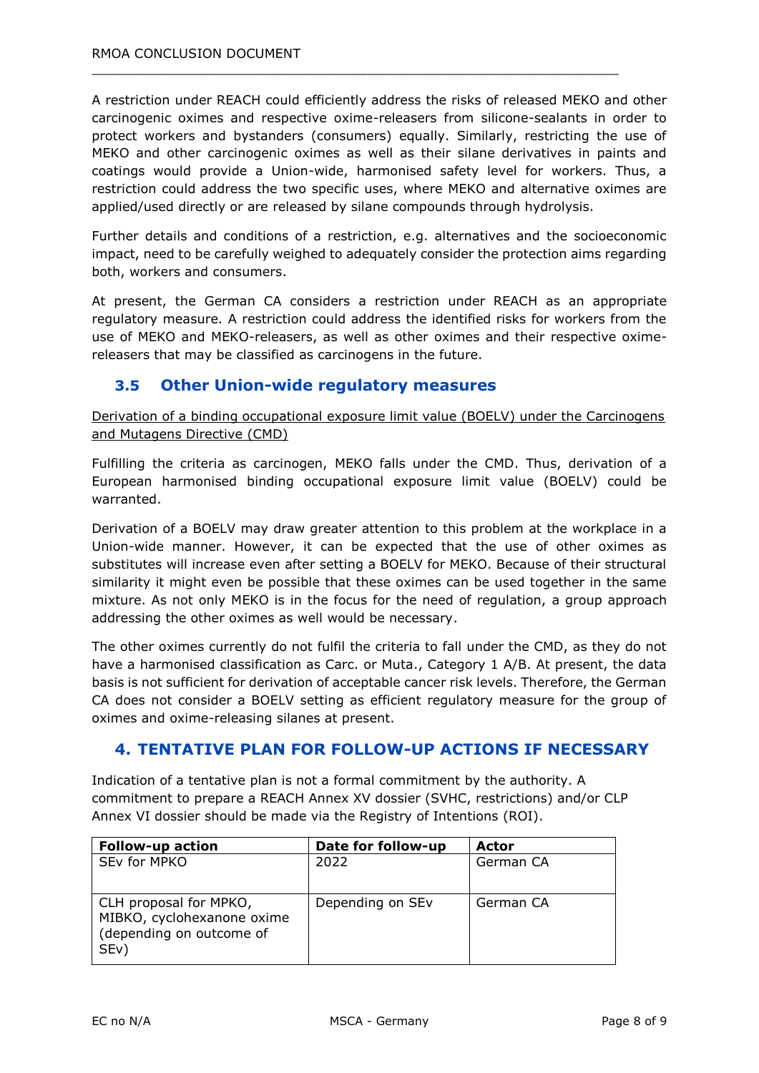A restriction under REACH could efficiently address the risks of released MEKO and other carcinogenic oximes and respective oxime-releasers from silicone-sealants in order to protect workers and bystanders (consumers) equally. Similarly, restricting the use of MEKO and other carcinogenic oximes as well as their silane derivatives in paints and coatings would provide a Union-wide, harmonised safety level for workers. Thus, a restriction could address the two specific uses, where MEKO and alternative oximes are applied/used directly or are released by silane compounds through hydrolysis.

 $\_$  , and the set of the set of the set of the set of the set of the set of the set of the set of the set of the set of the set of the set of the set of the set of the set of the set of the set of the set of the set of th

Further details and conditions of a restriction, e.g. alternatives and the socioeconomic impact, need to be carefully weighed to adequately consider the protection aims regarding both, workers and consumers.

At present, the German CA considers a restriction under REACH as an appropriate regulatory measure. A restriction could address the identified risks for workers from the use of MEKO and MEKO-releasers, as well as other oximes and their respective oximereleasers that may be classified as carcinogens in the future.

## **3.5 Other Union-wide regulatory measures**

Derivation of a binding occupational exposure limit value (BOELV) under the Carcinogens and Mutagens Directive (CMD)

Fulfilling the criteria as carcinogen, MEKO falls under the CMD. Thus, derivation of a European harmonised binding occupational exposure limit value (BOELV) could be warranted.

Derivation of a BOELV may draw greater attention to this problem at the workplace in a Union-wide manner. However, it can be expected that the use of other oximes as substitutes will increase even after setting a BOELV for MEKO. Because of their structural similarity it might even be possible that these oximes can be used together in the same mixture. As not only MEKO is in the focus for the need of regulation, a group approach addressing the other oximes as well would be necessary.

The other oximes currently do not fulfil the criteria to fall under the CMD, as they do not have a harmonised classification as Carc. or Muta., Category 1 A/B. At present, the data basis is not sufficient for derivation of acceptable cancer risk levels. Therefore, the German CA does not consider a BOELV setting as efficient regulatory measure for the group of oximes and oxime-releasing silanes at present.

## **4. TENTATIVE PLAN FOR FOLLOW-UP ACTIONS IF NECESSARY**

Indication of a tentative plan is not a formal commitment by the authority. A commitment to prepare a REACH Annex XV dossier (SVHC, restrictions) and/or CLP Annex VI dossier should be made via the Registry of Intentions (ROI).

| <b>Follow-up action</b>                                                                               | Date for follow-up | Actor     |
|-------------------------------------------------------------------------------------------------------|--------------------|-----------|
| SEv for MPKO                                                                                          | 2022               | German CA |
| CLH proposal for MPKO,<br>MIBKO, cyclohexanone oxime<br>(depending on outcome of<br>SE <sub>v</sub> ) | Depending on SEv   | German CA |